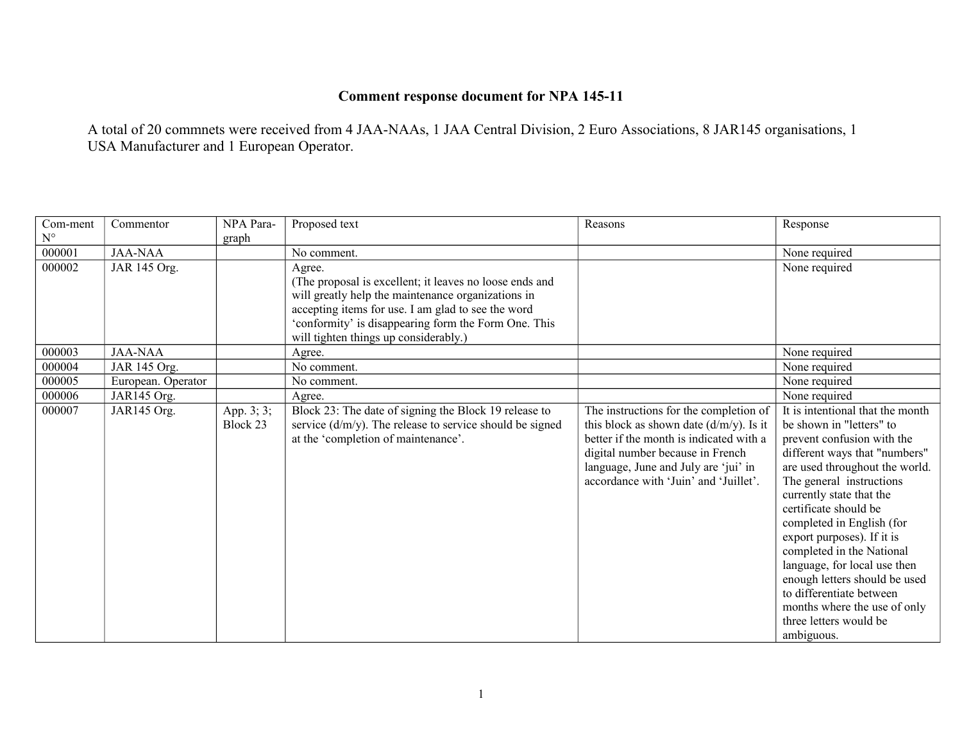## **Comment response document for NPA 145-11**

A total of 20 commnets were received from 4 JAA-NAAs, 1 JAA Central Division, 2 Euro Associations, 8 JAR145 organisations, 1 USA Manufacturer and 1 European Operator.

| Com-ment<br>$\mathbf{N}^{\circ}$ | Commentor          | NPA Para-<br>graph | Proposed text                                                                                                 | Reasons                                    | Response                         |
|----------------------------------|--------------------|--------------------|---------------------------------------------------------------------------------------------------------------|--------------------------------------------|----------------------------------|
| 000001                           | <b>JAA-NAA</b>     |                    | No comment.                                                                                                   |                                            | None required                    |
| 000002                           | JAR 145 Org.       |                    | Agree.                                                                                                        |                                            | None required                    |
|                                  |                    |                    | (The proposal is excellent; it leaves no loose ends and<br>will greatly help the maintenance organizations in |                                            |                                  |
|                                  |                    |                    | accepting items for use. I am glad to see the word                                                            |                                            |                                  |
|                                  |                    |                    | 'conformity' is disappearing form the Form One. This                                                          |                                            |                                  |
|                                  |                    |                    | will tighten things up considerably.)                                                                         |                                            |                                  |
| 000003                           | <b>JAA-NAA</b>     |                    | Agree.                                                                                                        |                                            | None required                    |
| 000004                           | JAR 145 Org.       |                    | No comment.                                                                                                   |                                            | None required                    |
| 000005                           | European. Operator |                    | No comment.                                                                                                   |                                            | None required                    |
| 000006                           | JAR145 Org.        |                    | Agree.                                                                                                        |                                            | None required                    |
| 000007                           | JAR145 Org.        | App. 3; 3;         | Block 23: The date of signing the Block 19 release to                                                         | The instructions for the completion of     | It is intentional that the month |
|                                  |                    | Block 23           | service $(d/m/y)$ . The release to service should be signed                                                   | this block as shown date $(d/m/y)$ . Is it | be shown in "letters" to         |
|                                  |                    |                    | at the 'completion of maintenance'.                                                                           | better if the month is indicated with a    | prevent confusion with the       |
|                                  |                    |                    |                                                                                                               | digital number because in French           | different ways that "numbers"    |
|                                  |                    |                    |                                                                                                               | language, June and July are 'jui' in       | are used throughout the world.   |
|                                  |                    |                    |                                                                                                               | accordance with 'Juin' and 'Juillet'.      | The general instructions         |
|                                  |                    |                    |                                                                                                               |                                            | currently state that the         |
|                                  |                    |                    |                                                                                                               |                                            | certificate should be            |
|                                  |                    |                    |                                                                                                               |                                            | completed in English (for        |
|                                  |                    |                    |                                                                                                               |                                            | export purposes). If it is       |
|                                  |                    |                    |                                                                                                               |                                            | completed in the National        |
|                                  |                    |                    |                                                                                                               |                                            | language, for local use then     |
|                                  |                    |                    |                                                                                                               |                                            | enough letters should be used    |
|                                  |                    |                    |                                                                                                               |                                            | to differentiate between         |
|                                  |                    |                    |                                                                                                               |                                            | months where the use of only     |
|                                  |                    |                    |                                                                                                               |                                            | three letters would be           |
|                                  |                    |                    |                                                                                                               |                                            | ambiguous.                       |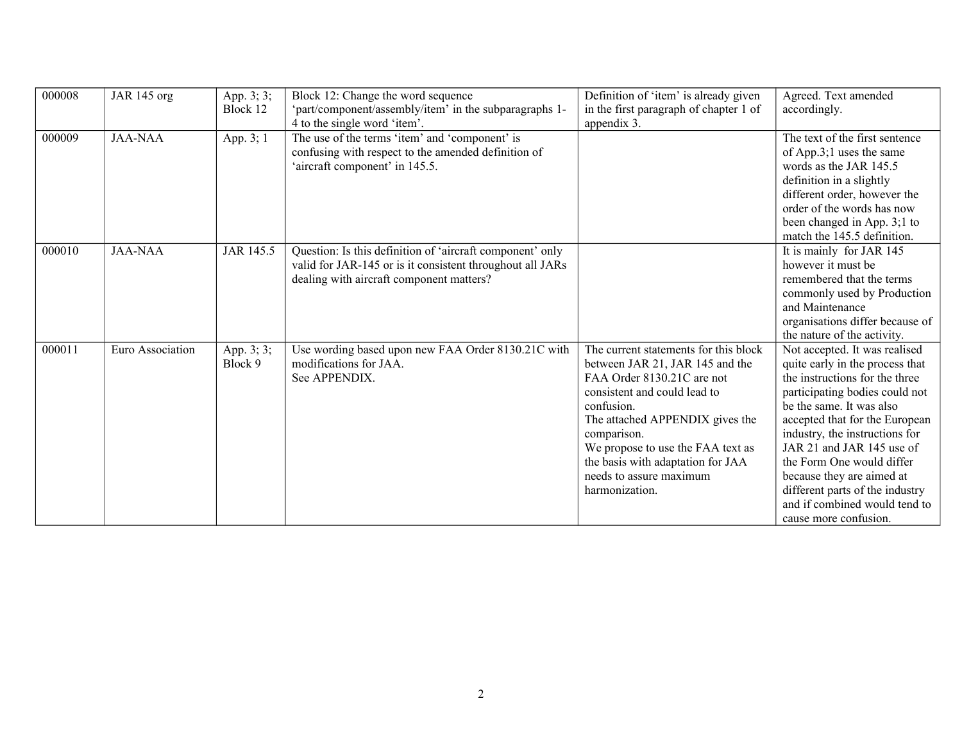| 000008 | JAR 145 org      | App. 3; 3;<br>Block 12 | Block 12: Change the word sequence<br>'part/component/assembly/item' in the subparagraphs 1-<br>4 to the single word 'item'.                                       | Definition of 'item' is already given<br>in the first paragraph of chapter 1 of<br>appendix 3.                                                                                                                                                                                                                                | Agreed. Text amended<br>accordingly.                                                                                                                                                                                                                                                                                                                                                                                     |
|--------|------------------|------------------------|--------------------------------------------------------------------------------------------------------------------------------------------------------------------|-------------------------------------------------------------------------------------------------------------------------------------------------------------------------------------------------------------------------------------------------------------------------------------------------------------------------------|--------------------------------------------------------------------------------------------------------------------------------------------------------------------------------------------------------------------------------------------------------------------------------------------------------------------------------------------------------------------------------------------------------------------------|
| 000009 | <b>JAA-NAA</b>   | App. 3; 1              | The use of the terms 'item' and 'component' is<br>confusing with respect to the amended definition of<br>'aircraft component' in 145.5.                            |                                                                                                                                                                                                                                                                                                                               | The text of the first sentence<br>of App.3;1 uses the same<br>words as the JAR 145.5<br>definition in a slightly<br>different order, however the<br>order of the words has now<br>been changed in App. 3;1 to<br>match the 145.5 definition.                                                                                                                                                                             |
| 000010 | <b>JAA-NAA</b>   | JAR 145.5              | Question: Is this definition of 'aircraft component' only<br>valid for JAR-145 or is it consistent throughout all JARs<br>dealing with aircraft component matters? |                                                                                                                                                                                                                                                                                                                               | It is mainly for JAR 145<br>however it must be<br>remembered that the terms<br>commonly used by Production<br>and Maintenance<br>organisations differ because of<br>the nature of the activity.                                                                                                                                                                                                                          |
| 000011 | Euro Association | App. 3; 3;<br>Block 9  | Use wording based upon new FAA Order 8130.21C with<br>modifications for JAA.<br>See APPENDIX.                                                                      | The current statements for this block<br>between JAR 21, JAR 145 and the<br>FAA Order 8130.21C are not<br>consistent and could lead to<br>confusion.<br>The attached APPENDIX gives the<br>comparison.<br>We propose to use the FAA text as<br>the basis with adaptation for JAA<br>needs to assure maximum<br>harmonization. | Not accepted. It was realised<br>quite early in the process that<br>the instructions for the three<br>participating bodies could not<br>be the same. It was also<br>accepted that for the European<br>industry, the instructions for<br>JAR 21 and JAR 145 use of<br>the Form One would differ<br>because they are aimed at<br>different parts of the industry<br>and if combined would tend to<br>cause more confusion. |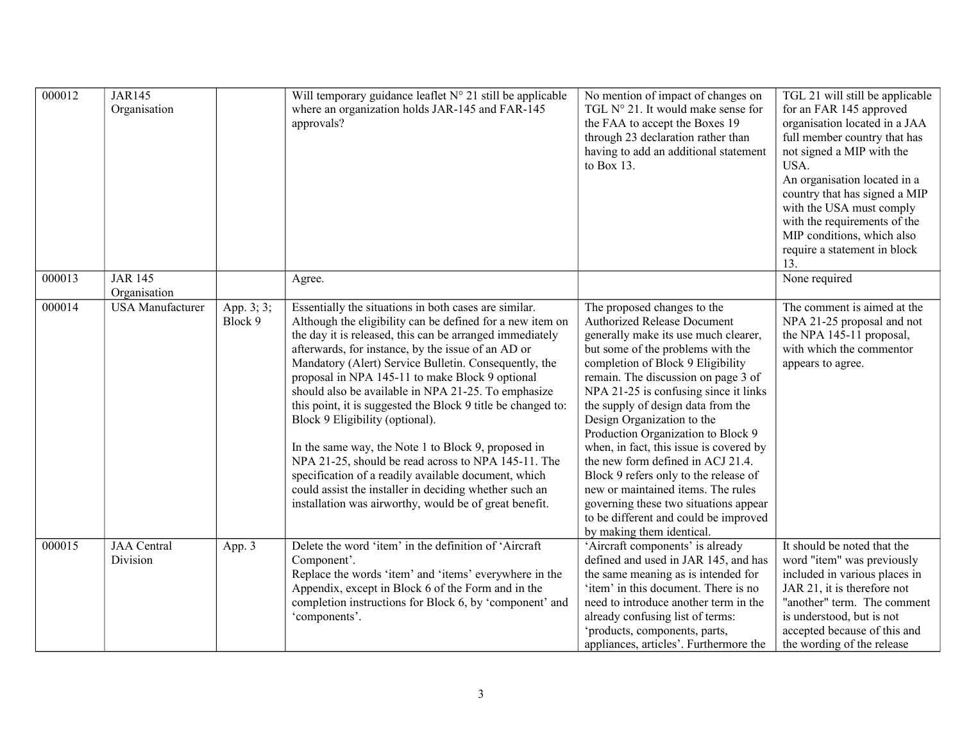| 000012 | <b>JAR145</b><br>Organisation  |                       | Will temporary guidance leaflet N° 21 still be applicable<br>where an organization holds JAR-145 and FAR-145<br>approvals?                                                                                                                                                                                                                                                                                                                                                                                                                                                                                                                                                                                                                                                                           | No mention of impact of changes on<br>TGL N° 21. It would make sense for<br>the FAA to accept the Boxes 19<br>through 23 declaration rather than<br>having to add an additional statement<br>to Box $13$ .                                                                                                                                                                                                                                                                                                                                                                                                                                                  | TGL 21 will still be applicable<br>for an FAR 145 approved<br>organisation located in a JAA<br>full member country that has<br>not signed a MIP with the<br>USA.<br>An organisation located in a<br>country that has signed a MIP<br>with the USA must comply<br>with the requirements of the<br>MIP conditions, which also<br>require a statement in block<br>13. |
|--------|--------------------------------|-----------------------|------------------------------------------------------------------------------------------------------------------------------------------------------------------------------------------------------------------------------------------------------------------------------------------------------------------------------------------------------------------------------------------------------------------------------------------------------------------------------------------------------------------------------------------------------------------------------------------------------------------------------------------------------------------------------------------------------------------------------------------------------------------------------------------------------|-------------------------------------------------------------------------------------------------------------------------------------------------------------------------------------------------------------------------------------------------------------------------------------------------------------------------------------------------------------------------------------------------------------------------------------------------------------------------------------------------------------------------------------------------------------------------------------------------------------------------------------------------------------|--------------------------------------------------------------------------------------------------------------------------------------------------------------------------------------------------------------------------------------------------------------------------------------------------------------------------------------------------------------------|
| 000013 | <b>JAR 145</b><br>Organisation |                       | Agree.                                                                                                                                                                                                                                                                                                                                                                                                                                                                                                                                                                                                                                                                                                                                                                                               |                                                                                                                                                                                                                                                                                                                                                                                                                                                                                                                                                                                                                                                             | None required                                                                                                                                                                                                                                                                                                                                                      |
| 000014 | <b>USA Manufacturer</b>        | App. 3; 3;<br>Block 9 | Essentially the situations in both cases are similar.<br>Although the eligibility can be defined for a new item on<br>the day it is released, this can be arranged immediately<br>afterwards, for instance, by the issue of an AD or<br>Mandatory (Alert) Service Bulletin. Consequently, the<br>proposal in NPA 145-11 to make Block 9 optional<br>should also be available in NPA 21-25. To emphasize<br>this point, it is suggested the Block 9 title be changed to:<br>Block 9 Eligibility (optional).<br>In the same way, the Note 1 to Block 9, proposed in<br>NPA 21-25, should be read across to NPA 145-11. The<br>specification of a readily available document, which<br>could assist the installer in deciding whether such an<br>installation was airworthy, would be of great benefit. | The proposed changes to the<br><b>Authorized Release Document</b><br>generally make its use much clearer,<br>but some of the problems with the<br>completion of Block 9 Eligibility<br>remain. The discussion on page 3 of<br>NPA 21-25 is confusing since it links<br>the supply of design data from the<br>Design Organization to the<br>Production Organization to Block 9<br>when, in fact, this issue is covered by<br>the new form defined in ACJ 21.4.<br>Block 9 refers only to the release of<br>new or maintained items. The rules<br>governing these two situations appear<br>to be different and could be improved<br>by making them identical. | The comment is aimed at the<br>NPA 21-25 proposal and not<br>the NPA 145-11 proposal,<br>with which the commentor<br>appears to agree.                                                                                                                                                                                                                             |
| 000015 | <b>JAA</b> Central<br>Division | App. 3                | Delete the word 'item' in the definition of 'Aircraft<br>Component'.<br>Replace the words 'item' and 'items' everywhere in the<br>Appendix, except in Block 6 of the Form and in the<br>completion instructions for Block 6, by 'component' and<br>'components'.                                                                                                                                                                                                                                                                                                                                                                                                                                                                                                                                     | 'Aircraft components' is already<br>defined and used in JAR 145, and has<br>the same meaning as is intended for<br>'item' in this document. There is no<br>need to introduce another term in the<br>already confusing list of terms:<br>'products, components, parts,<br>appliances, articles'. Furthermore the                                                                                                                                                                                                                                                                                                                                             | It should be noted that the<br>word "item" was previously<br>included in various places in<br>JAR 21, it is therefore not<br>"another" term. The comment<br>is understood, but is not<br>accepted because of this and<br>the wording of the release                                                                                                                |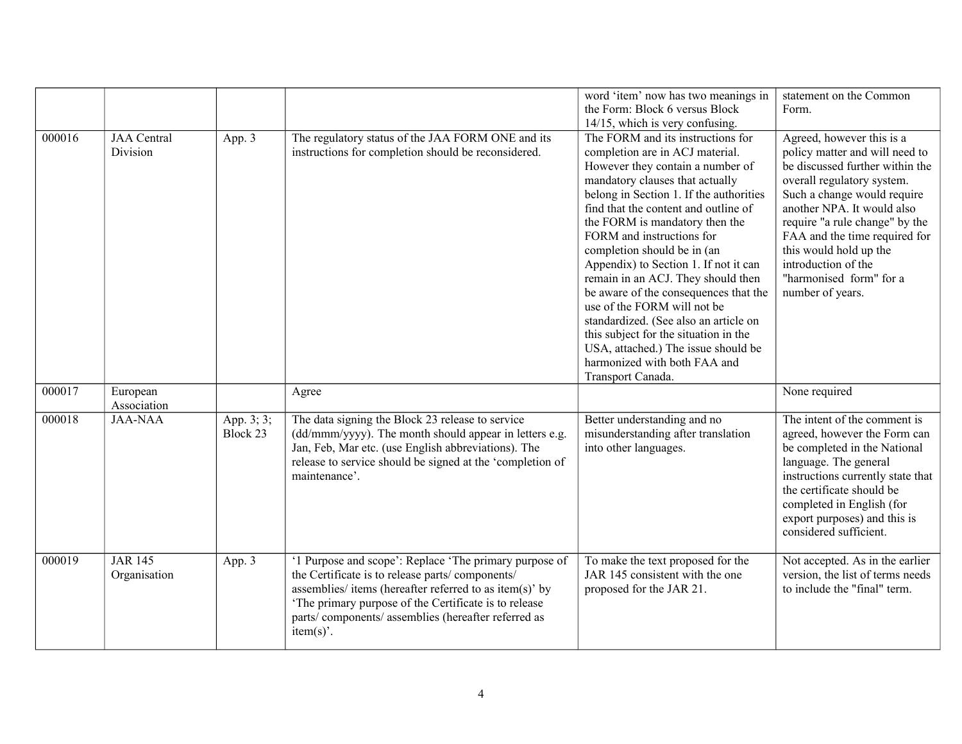|        |                                |                        |                                                                                                                                                                                                                                                                                                                 | word 'item' now has two meanings in<br>the Form: Block 6 versus Block<br>14/15, which is very confusing.                                                                                                                                                                                                                                                                                                                                                                                                                                                                                                                                                          | statement on the Common<br>Form.                                                                                                                                                                                                                                                                                                                             |
|--------|--------------------------------|------------------------|-----------------------------------------------------------------------------------------------------------------------------------------------------------------------------------------------------------------------------------------------------------------------------------------------------------------|-------------------------------------------------------------------------------------------------------------------------------------------------------------------------------------------------------------------------------------------------------------------------------------------------------------------------------------------------------------------------------------------------------------------------------------------------------------------------------------------------------------------------------------------------------------------------------------------------------------------------------------------------------------------|--------------------------------------------------------------------------------------------------------------------------------------------------------------------------------------------------------------------------------------------------------------------------------------------------------------------------------------------------------------|
| 000016 | <b>JAA</b> Central<br>Division | App. 3                 | The regulatory status of the JAA FORM ONE and its<br>instructions for completion should be reconsidered.                                                                                                                                                                                                        | The FORM and its instructions for<br>completion are in ACJ material.<br>However they contain a number of<br>mandatory clauses that actually<br>belong in Section 1. If the authorities<br>find that the content and outline of<br>the FORM is mandatory then the<br>FORM and instructions for<br>completion should be in (an<br>Appendix) to Section 1. If not it can<br>remain in an ACJ. They should then<br>be aware of the consequences that the<br>use of the FORM will not be<br>standardized. (See also an article on<br>this subject for the situation in the<br>USA, attached.) The issue should be<br>harmonized with both FAA and<br>Transport Canada. | Agreed, however this is a<br>policy matter and will need to<br>be discussed further within the<br>overall regulatory system.<br>Such a change would require<br>another NPA. It would also<br>require "a rule change" by the<br>FAA and the time required for<br>this would hold up the<br>introduction of the<br>"harmonised form" for a<br>number of years. |
| 000017 | European<br>Association        |                        | Agree                                                                                                                                                                                                                                                                                                           |                                                                                                                                                                                                                                                                                                                                                                                                                                                                                                                                                                                                                                                                   | None required                                                                                                                                                                                                                                                                                                                                                |
| 000018 | <b>JAA-NAA</b>                 | App. 3; 3;<br>Block 23 | The data signing the Block 23 release to service<br>(dd/mmm/yyyy). The month should appear in letters e.g.<br>Jan, Feb, Mar etc. (use English abbreviations). The<br>release to service should be signed at the 'completion of<br>maintenance'.                                                                 | Better understanding and no<br>misunderstanding after translation<br>into other languages.                                                                                                                                                                                                                                                                                                                                                                                                                                                                                                                                                                        | The intent of the comment is<br>agreed, however the Form can<br>be completed in the National<br>language. The general<br>instructions currently state that<br>the certificate should be<br>completed in English (for<br>export purposes) and this is<br>considered sufficient.                                                                               |
| 000019 | <b>JAR 145</b><br>Organisation | App. 3                 | '1 Purpose and scope': Replace 'The primary purpose of<br>the Certificate is to release parts/components/<br>assemblies/ items (hereafter referred to as item(s)' by<br>'The primary purpose of the Certificate is to release<br>parts/components/assemblies (hereafter referred as<br>$item(s)$ <sup>2</sup> . | To make the text proposed for the<br>JAR 145 consistent with the one<br>proposed for the JAR 21.                                                                                                                                                                                                                                                                                                                                                                                                                                                                                                                                                                  | Not accepted. As in the earlier<br>version, the list of terms needs<br>to include the "final" term.                                                                                                                                                                                                                                                          |